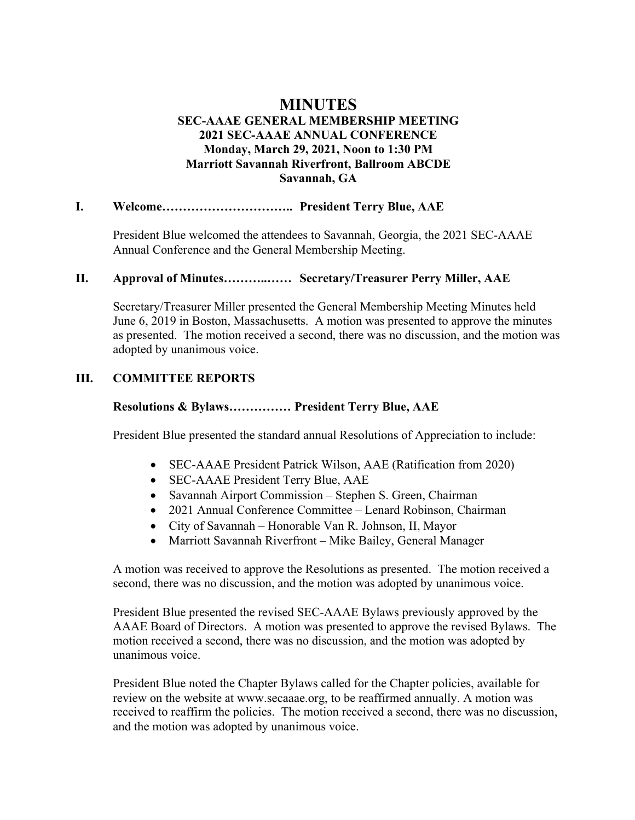# **MINUTES SEC-AAAE GENERAL MEMBERSHIP MEETING 2021 SEC-AAAE ANNUAL CONFERENCE Monday, March 29, 2021, Noon to 1:30 PM Marriott Savannah Riverfront, Ballroom ABCDE Savannah, GA**

### **I. Welcome………………………….. President Terry Blue, AAE**

President Blue welcomed the attendees to Savannah, Georgia, the 2021 SEC-AAAE Annual Conference and the General Membership Meeting.

### **II. Approval of Minutes………..…… Secretary/Treasurer Perry Miller, AAE**

Secretary/Treasurer Miller presented the General Membership Meeting Minutes held June 6, 2019 in Boston, Massachusetts. A motion was presented to approve the minutes as presented. The motion received a second, there was no discussion, and the motion was adopted by unanimous voice.

### **III. COMMITTEE REPORTS**

# **Resolutions & Bylaws…………… President Terry Blue, AAE**

President Blue presented the standard annual Resolutions of Appreciation to include:

- SEC-AAAE President Patrick Wilson, AAE (Ratification from 2020)
- SEC-AAAE President Terry Blue, AAE
- Savannah Airport Commission Stephen S. Green, Chairman
- 2021 Annual Conference Committee Lenard Robinson, Chairman
- City of Savannah Honorable Van R. Johnson, II, Mayor
- Marriott Savannah Riverfront Mike Bailey, General Manager

A motion was received to approve the Resolutions as presented. The motion received a second, there was no discussion, and the motion was adopted by unanimous voice.

President Blue presented the revised SEC-AAAE Bylaws previously approved by the AAAE Board of Directors. A motion was presented to approve the revised Bylaws. The motion received a second, there was no discussion, and the motion was adopted by unanimous voice.

President Blue noted the Chapter Bylaws called for the Chapter policies, available for review on the website at www.secaaae.org, to be reaffirmed annually. A motion was received to reaffirm the policies. The motion received a second, there was no discussion, and the motion was adopted by unanimous voice.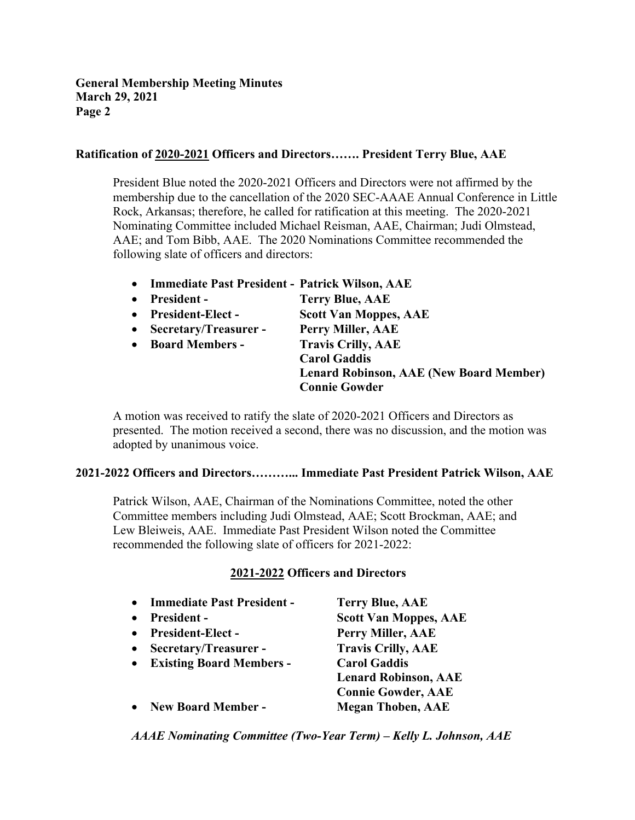### **Ratification of 2020-2021 Officers and Directors……. President Terry Blue, AAE**

President Blue noted the 2020-2021 Officers and Directors were not affirmed by the membership due to the cancellation of the 2020 SEC-AAAE Annual Conference in Little Rock, Arkansas; therefore, he called for ratification at this meeting. The 2020-2021 Nominating Committee included Michael Reisman, AAE, Chairman; Judi Olmstead, AAE; and Tom Bibb, AAE. The 2020 Nominations Committee recommended the following slate of officers and directors:

- **Immediate Past President - Patrick Wilson, AAE**
- **President - Terry Blue, AAE** • **President-Elect - Scott Van Moppes, AAE** • **Secretary/Treasurer - Perry Miller, AAE** • **Board Members - Travis Crilly, AAE Carol Gaddis Lenard Robinson, AAE (New Board Member)**

A motion was received to ratify the slate of 2020-2021 Officers and Directors as presented. The motion received a second, there was no discussion, and the motion was adopted by unanimous voice.

**Connie Gowder**

# **2021-2022 Officers and Directors………... Immediate Past President Patrick Wilson, AAE**

Patrick Wilson, AAE, Chairman of the Nominations Committee, noted the other Committee members including Judi Olmstead, AAE; Scott Brockman, AAE; and Lew Bleiweis, AAE. Immediate Past President Wilson noted the Committee recommended the following slate of officers for 2021-2022:

# **2021-2022 Officers and Directors**

• **Immediate Past President - Terry Blue, AAE** • **President - Scott Van Moppes, AAE** • **President-Elect - Perry Miller, AAE** • **Secretary/Treasurer - Travis Crilly, AAE** • **Existing Board Members - Carol Gaddis Lenard Robinson, AAE Connie Gowder, AAE** • **New Board Member - Megan Thoben, AAE**

*AAAE Nominating Committee (Two-Year Term) – Kelly L. Johnson, AAE*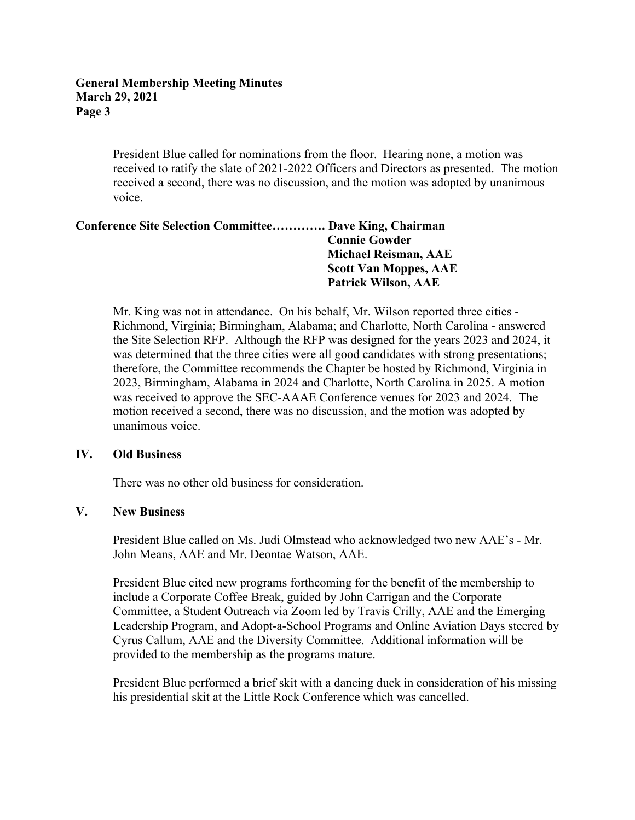#### **General Membership Meeting Minutes March 29, 2021 Page 3**

President Blue called for nominations from the floor. Hearing none, a motion was received to ratify the slate of 2021-2022 Officers and Directors as presented. The motion received a second, there was no discussion, and the motion was adopted by unanimous voice.

### **Conference Site Selection Committee…………. Dave King, Chairman Connie Gowder Michael Reisman, AAE Scott Van Moppes, AAE Patrick Wilson, AAE**

Mr. King was not in attendance. On his behalf, Mr. Wilson reported three cities - Richmond, Virginia; Birmingham, Alabama; and Charlotte, North Carolina - answered the Site Selection RFP. Although the RFP was designed for the years 2023 and 2024, it was determined that the three cities were all good candidates with strong presentations; therefore, the Committee recommends the Chapter be hosted by Richmond, Virginia in 2023, Birmingham, Alabama in 2024 and Charlotte, North Carolina in 2025. A motion was received to approve the SEC-AAAE Conference venues for 2023 and 2024. The motion received a second, there was no discussion, and the motion was adopted by unanimous voice.

#### **IV. Old Business**

There was no other old business for consideration.

# **V. New Business**

President Blue called on Ms. Judi Olmstead who acknowledged two new AAE's - Mr. John Means, AAE and Mr. Deontae Watson, AAE.

President Blue cited new programs forthcoming for the benefit of the membership to include a Corporate Coffee Break, guided by John Carrigan and the Corporate Committee, a Student Outreach via Zoom led by Travis Crilly, AAE and the Emerging Leadership Program, and Adopt-a-School Programs and Online Aviation Days steered by Cyrus Callum, AAE and the Diversity Committee. Additional information will be provided to the membership as the programs mature.

President Blue performed a brief skit with a dancing duck in consideration of his missing his presidential skit at the Little Rock Conference which was cancelled.